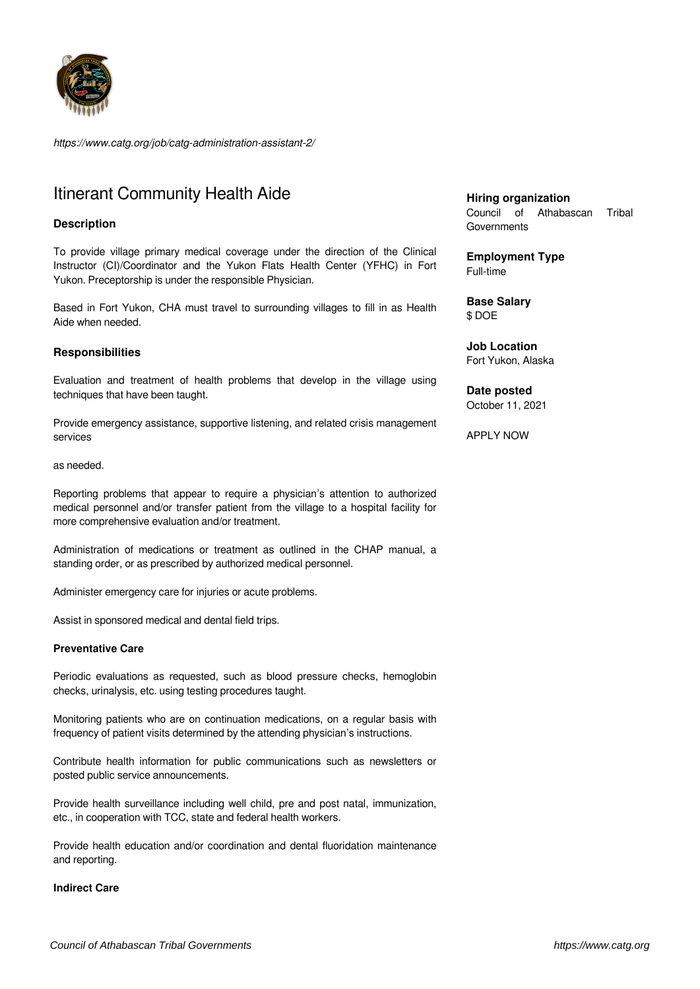

*https://www.catg.org/job/catg-administration-assistant-2/*

# Itinerant Community Health Aide

# **Description**

To provide village primary medical coverage under the direction of the Clinical Instructor (CI)/Coordinator and the Yukon Flats Health Center (YFHC) in Fort Yukon. Preceptorship is under the responsible Physician.

Based in Fort Yukon, CHA must travel to surrounding villages to fill in as Health Aide when needed.

# **Responsibilities**

Evaluation and treatment of health problems that develop in the village using techniques that have been taught.

Provide emergency assistance, supportive listening, and related crisis management services

#### as needed.

Reporting problems that appear to require a physician's attention to authorized medical personnel and/or transfer patient from the village to a hospital facility for more comprehensive evaluation and/or treatment.

Administration of medications or treatment as outlined in the CHAP manual, a standing order, or as prescribed by authorized medical personnel.

Administer emergency care for injuries or acute problems.

Assist in sponsored medical and dental field trips.

### **Preventative Care**

Periodic evaluations as requested, such as blood pressure checks, hemoglobin checks, urinalysis, etc. using testing procedures taught.

Monitoring patients who are on continuation medications, on a regular basis with frequency of patient visits determined by the attending physician's instructions.

Contribute health information for public communications such as newsletters or posted public service announcements.

Provide health surveillance including well child, pre and post natal, immunization, etc., in cooperation with TCC, state and federal health workers.

Provide health education and/or coordination and dental fluoridation maintenance and reporting.

### **Indirect Care**

**Hiring organization** Council of Athabascan Tribal **Governments** 

**Employment Type** Full-time

**Base Salary** \$ DOE

**Job Location** Fort Yukon, Alaska

**Date posted** October 11, 2021

APPLY NOW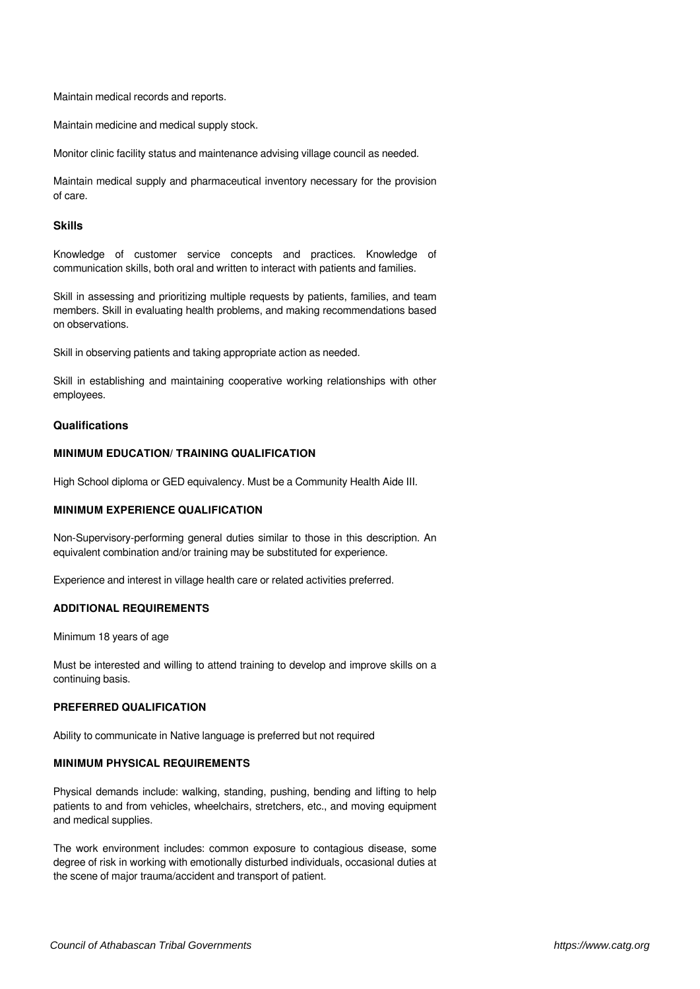Maintain medical records and reports.

Maintain medicine and medical supply stock.

Monitor clinic facility status and maintenance advising village council as needed.

Maintain medical supply and pharmaceutical inventory necessary for the provision of care.

## **Skills**

Knowledge of customer service concepts and practices. Knowledge of communication skills, both oral and written to interact with patients and families.

Skill in assessing and prioritizing multiple requests by patients, families, and team members. Skill in evaluating health problems, and making recommendations based on observations.

Skill in observing patients and taking appropriate action as needed.

Skill in establishing and maintaining cooperative working relationships with other employees.

#### **Qualifications**

# **MINIMUM EDUCATION/ TRAINING QUALIFICATION**

High School diploma or GED equivalency. Must be a Community Health Aide III.

# **MINIMUM EXPERIENCE QUALIFICATION**

Non-Supervisory-performing general duties similar to those in this description. An equivalent combination and/or training may be substituted for experience.

Experience and interest in village health care or related activities preferred.

#### **ADDITIONAL REQUIREMENTS**

Minimum 18 years of age

Must be interested and willing to attend training to develop and improve skills on a continuing basis.

### **PREFERRED QUALIFICATION**

Ability to communicate in Native language is preferred but not required

# **MINIMUM PHYSICAL REQUIREMENTS**

Physical demands include: walking, standing, pushing, bending and lifting to help patients to and from vehicles, wheelchairs, stretchers, etc., and moving equipment and medical supplies.

The work environment includes: common exposure to contagious disease, some degree of risk in working with emotionally disturbed individuals, occasional duties at the scene of major trauma/accident and transport of patient.